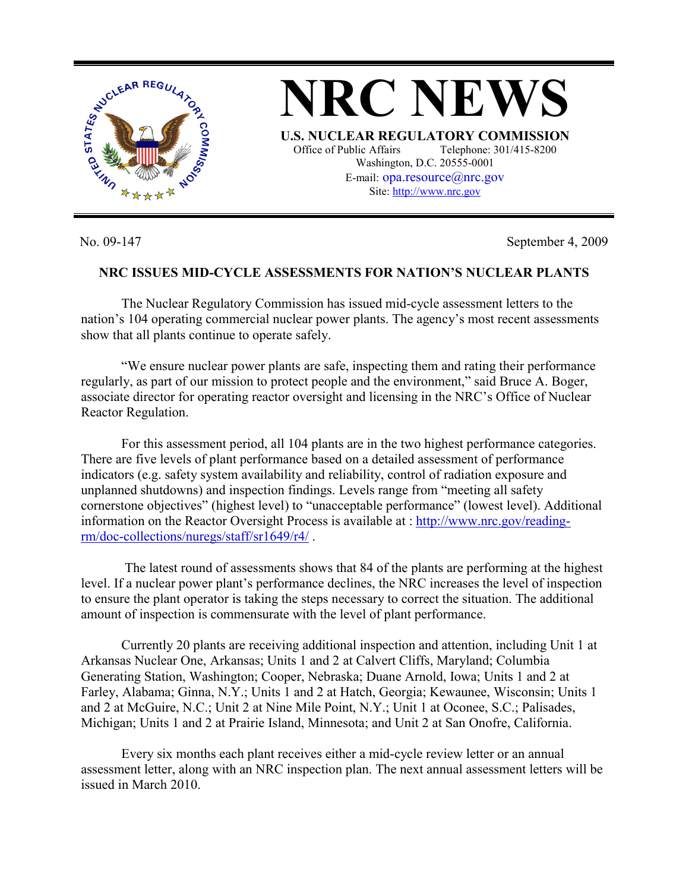

No. 09-147 September 4, 2009

## **NRC ISSUES MID-CYCLE ASSESSMENTS FOR NATION'S NUCLEAR PLANTS**

**NRC NEWS**

**U.S. NUCLEAR REGULATORY COMMISSION** Office of Public Affairs Telephone: 301/415-8200 Washington, D.C. 20555-0001 E-mail:  $opa$ resource $@$ nrc.gov Site: http://www.nrc.gov

 The Nuclear Regulatory Commission has issued mid-cycle assessment letters to the nation's 104 operating commercial nuclear power plants. The agency's most recent assessments show that all plants continue to operate safely.

 "We ensure nuclear power plants are safe, inspecting them and rating their performance regularly, as part of our mission to protect people and the environment," said Bruce A. Boger, associate director for operating reactor oversight and licensing in the NRC's Office of Nuclear Reactor Regulation.

 For this assessment period, all 104 plants are in the two highest performance categories. There are five levels of plant performance based on a detailed assessment of performance indicators (e.g. safety system availability and reliability, control of radiation exposure and unplanned shutdowns) and inspection findings. Levels range from "meeting all safety cornerstone objectives" (highest level) to "unacceptable performance" (lowest level). Additional information on the Reactor Oversight Process is available at : http://www.nrc.gov/readingrm/doc-collections/nuregs/staff/sr1649/r4/ .

 The latest round of assessments shows that 84 of the plants are performing at the highest level. If a nuclear power plant's performance declines, the NRC increases the level of inspection to ensure the plant operator is taking the steps necessary to correct the situation. The additional amount of inspection is commensurate with the level of plant performance.

 Currently 20 plants are receiving additional inspection and attention, including Unit 1 at Arkansas Nuclear One, Arkansas; Units 1 and 2 at Calvert Cliffs, Maryland; Columbia Generating Station, Washington; Cooper, Nebraska; Duane Arnold, Iowa; Units 1 and 2 at Farley, Alabama; Ginna, N.Y.; Units 1 and 2 at Hatch, Georgia; Kewaunee, Wisconsin; Units 1 and 2 at McGuire, N.C.; Unit 2 at Nine Mile Point, N.Y.; Unit 1 at Oconee, S.C.; Palisades, Michigan; Units 1 and 2 at Prairie Island, Minnesota; and Unit 2 at San Onofre, California.

 Every six months each plant receives either a mid-cycle review letter or an annual assessment letter, along with an NRC inspection plan. The next annual assessment letters will be issued in March 2010.